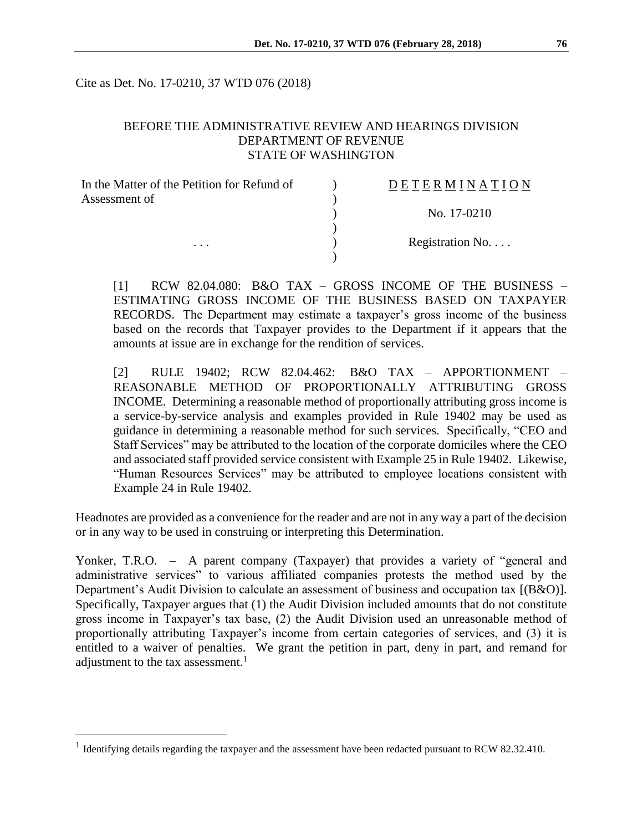Cite as Det. No. 17-0210, 37 WTD 076 (2018)

## BEFORE THE ADMINISTRATIVE REVIEW AND HEARINGS DIVISION DEPARTMENT OF REVENUE STATE OF WASHINGTON

| In the Matter of the Petition for Refund of | DETERMINATION   |
|---------------------------------------------|-----------------|
| Assessment of                               |                 |
|                                             | No. 17-0210     |
|                                             |                 |
| $\cdots$                                    | Registration No |
|                                             |                 |

[1] RCW 82.04.080: B&O TAX – GROSS INCOME OF THE BUSINESS – ESTIMATING GROSS INCOME OF THE BUSINESS BASED ON TAXPAYER RECORDS. The Department may estimate a taxpayer's gross income of the business based on the records that Taxpayer provides to the Department if it appears that the amounts at issue are in exchange for the rendition of services.

[2] RULE 19402; RCW 82.04.462: B&O TAX – APPORTIONMENT – REASONABLE METHOD OF PROPORTIONALLY ATTRIBUTING GROSS INCOME. Determining a reasonable method of proportionally attributing gross income is a service-by-service analysis and examples provided in Rule 19402 may be used as guidance in determining a reasonable method for such services. Specifically, "CEO and Staff Services" may be attributed to the location of the corporate domiciles where the CEO and associated staff provided service consistent with Example 25 in Rule 19402. Likewise, "Human Resources Services" may be attributed to employee locations consistent with Example 24 in Rule 19402.

Headnotes are provided as a convenience for the reader and are not in any way a part of the decision or in any way to be used in construing or interpreting this Determination.

Yonker, T.R.O. – A parent company (Taxpayer) that provides a variety of "general and administrative services" to various affiliated companies protests the method used by the Department's Audit Division to calculate an assessment of business and occupation tax [(B&O)]. Specifically, Taxpayer argues that (1) the Audit Division included amounts that do not constitute gross income in Taxpayer's tax base, (2) the Audit Division used an unreasonable method of proportionally attributing Taxpayer's income from certain categories of services, and (3) it is entitled to a waiver of penalties. We grant the petition in part, deny in part, and remand for adjustment to the tax assessment.<sup>1</sup>

 $\overline{a}$ 

<sup>&</sup>lt;sup>1</sup> Identifying details regarding the taxpayer and the assessment have been redacted pursuant to RCW 82.32.410.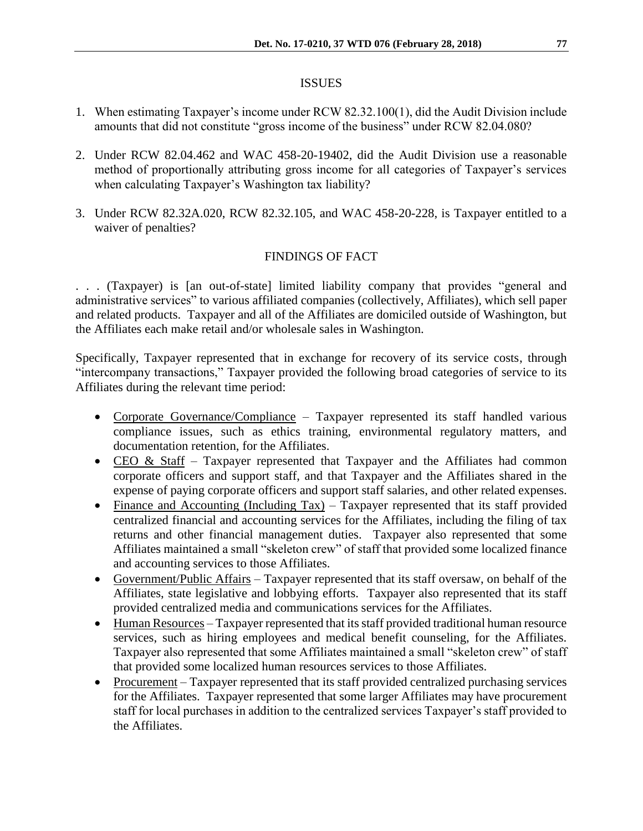#### ISSUES

- 1. When estimating Taxpayer's income under RCW 82.32.100(1), did the Audit Division include amounts that did not constitute "gross income of the business" under RCW 82.04.080?
- 2. Under RCW 82.04.462 and WAC 458-20-19402, did the Audit Division use a reasonable method of proportionally attributing gross income for all categories of Taxpayer's services when calculating Taxpayer's Washington tax liability?
- 3. Under RCW 82.32A.020, RCW 82.32.105, and WAC 458-20-228, is Taxpayer entitled to a waiver of penalties?

# FINDINGS OF FACT

. . . (Taxpayer) is [an out-of-state] limited liability company that provides "general and administrative services" to various affiliated companies (collectively, Affiliates), which sell paper and related products. Taxpayer and all of the Affiliates are domiciled outside of Washington, but the Affiliates each make retail and/or wholesale sales in Washington.

Specifically, Taxpayer represented that in exchange for recovery of its service costs, through "intercompany transactions," Taxpayer provided the following broad categories of service to its Affiliates during the relevant time period:

- Corporate Governance/Compliance Taxpayer represented its staff handled various compliance issues, such as ethics training, environmental regulatory matters, and documentation retention, for the Affiliates.
- CEO & Staff Taxpayer represented that Taxpayer and the Affiliates had common corporate officers and support staff, and that Taxpayer and the Affiliates shared in the expense of paying corporate officers and support staff salaries, and other related expenses.
- Finance and Accounting (Including Tax) Taxpayer represented that its staff provided centralized financial and accounting services for the Affiliates, including the filing of tax returns and other financial management duties. Taxpayer also represented that some Affiliates maintained a small "skeleton crew" of staff that provided some localized finance and accounting services to those Affiliates.
- Government/Public Affairs Taxpayer represented that its staff oversaw, on behalf of the Affiliates, state legislative and lobbying efforts. Taxpayer also represented that its staff provided centralized media and communications services for the Affiliates.
- Human Resources Taxpayer represented that its staff provided traditional human resource services, such as hiring employees and medical benefit counseling, for the Affiliates. Taxpayer also represented that some Affiliates maintained a small "skeleton crew" of staff that provided some localized human resources services to those Affiliates.
- Procurement Taxpayer represented that its staff provided centralized purchasing services for the Affiliates. Taxpayer represented that some larger Affiliates may have procurement staff for local purchases in addition to the centralized services Taxpayer's staff provided to the Affiliates.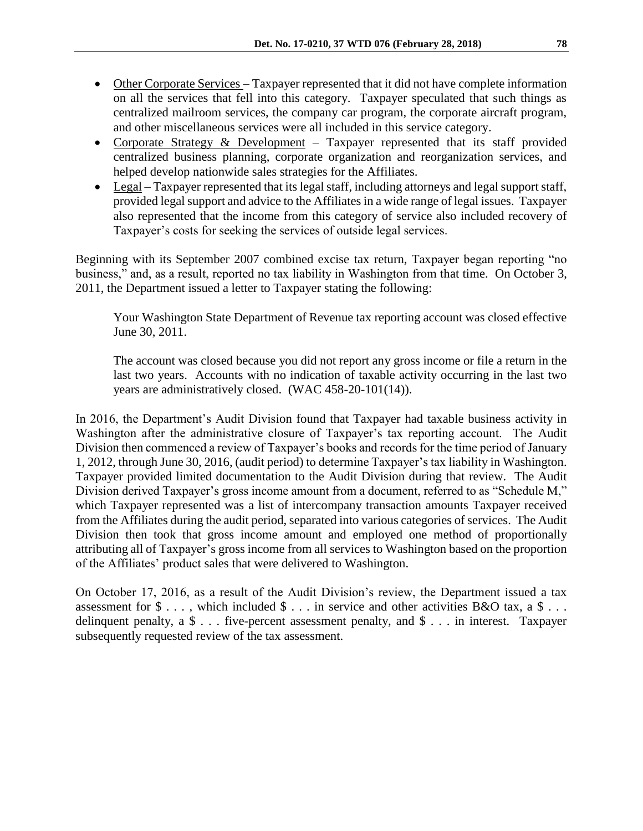- Other Corporate Services Taxpayer represented that it did not have complete information on all the services that fell into this category. Taxpayer speculated that such things as centralized mailroom services, the company car program, the corporate aircraft program, and other miscellaneous services were all included in this service category.
- Corporate Strategy  $& Development Taxpayer represented that its staff provided$ centralized business planning, corporate organization and reorganization services, and helped develop nationwide sales strategies for the Affiliates.
- Legal Taxpayer represented that its legal staff, including attorneys and legal support staff, provided legal support and advice to the Affiliates in a wide range of legal issues. Taxpayer also represented that the income from this category of service also included recovery of Taxpayer's costs for seeking the services of outside legal services.

Beginning with its September 2007 combined excise tax return, Taxpayer began reporting "no business," and, as a result, reported no tax liability in Washington from that time. On October 3, 2011, the Department issued a letter to Taxpayer stating the following:

Your Washington State Department of Revenue tax reporting account was closed effective June 30, 2011.

The account was closed because you did not report any gross income or file a return in the last two years. Accounts with no indication of taxable activity occurring in the last two years are administratively closed. (WAC 458-20-101(14)).

In 2016, the Department's Audit Division found that Taxpayer had taxable business activity in Washington after the administrative closure of Taxpayer's tax reporting account. The Audit Division then commenced a review of Taxpayer's books and records for the time period of January 1, 2012, through June 30, 2016, (audit period) to determine Taxpayer's tax liability in Washington. Taxpayer provided limited documentation to the Audit Division during that review. The Audit Division derived Taxpayer's gross income amount from a document, referred to as "Schedule M," which Taxpayer represented was a list of intercompany transaction amounts Taxpayer received from the Affiliates during the audit period, separated into various categories of services. The Audit Division then took that gross income amount and employed one method of proportionally attributing all of Taxpayer's gross income from all services to Washington based on the proportion of the Affiliates' product sales that were delivered to Washington.

On October 17, 2016, as a result of the Audit Division's review, the Department issued a tax assessment for  $\$\ldots$ , which included  $\$\ldots$  in service and other activities B&O tax, a  $\$\ldots$ delinquent penalty, a \$ . . . five-percent assessment penalty, and \$ . . . in interest. Taxpayer subsequently requested review of the tax assessment.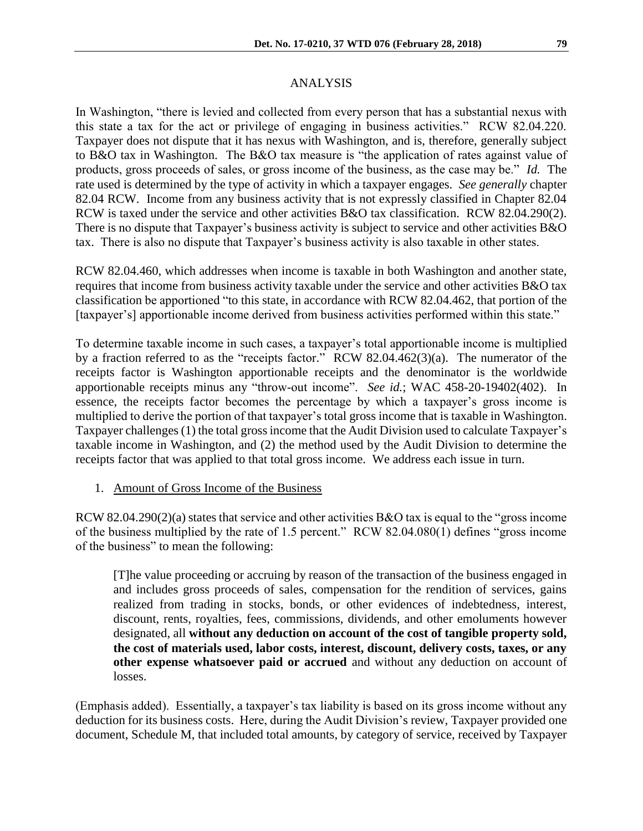# ANALYSIS

In Washington, "there is levied and collected from every person that has a substantial nexus with this state a tax for the act or privilege of engaging in business activities." RCW 82.04.220. Taxpayer does not dispute that it has nexus with Washington, and is, therefore, generally subject to B&O tax in Washington. The B&O tax measure is "the application of rates against value of products, gross proceeds of sales, or gross income of the business, as the case may be." *Id.* The rate used is determined by the type of activity in which a taxpayer engages. *See generally* chapter 82.04 RCW. Income from any business activity that is not expressly classified in Chapter 82.04 RCW is taxed under the service and other activities B&O tax classification. RCW 82.04.290(2). There is no dispute that Taxpayer's business activity is subject to service and other activities B&O tax. There is also no dispute that Taxpayer's business activity is also taxable in other states.

RCW 82.04.460, which addresses when income is taxable in both Washington and another state, requires that income from business activity taxable under the service and other activities B&O tax classification be apportioned "to this state, in accordance with RCW 82.04.462, that portion of the [taxpayer's] apportionable income derived from business activities performed within this state."

To determine taxable income in such cases, a taxpayer's total apportionable income is multiplied by a fraction referred to as the "receipts factor." RCW 82.04.462(3)(a). The numerator of the receipts factor is Washington apportionable receipts and the denominator is the worldwide apportionable receipts minus any "throw-out income". *See id.*; WAC 458-20-19402(402). In essence, the receipts factor becomes the percentage by which a taxpayer's gross income is multiplied to derive the portion of that taxpayer's total gross income that is taxable in Washington. Taxpayer challenges (1) the total gross income that the Audit Division used to calculate Taxpayer's taxable income in Washington, and (2) the method used by the Audit Division to determine the receipts factor that was applied to that total gross income. We address each issue in turn.

1. Amount of Gross Income of the Business

RCW 82.04.290(2)(a) states that service and other activities B&O tax is equal to the "gross income of the business multiplied by the rate of 1.5 percent." RCW 82.04.080(1) defines "gross income of the business" to mean the following:

[T]he value proceeding or accruing by reason of the transaction of the business engaged in and includes gross proceeds of sales, compensation for the rendition of services, gains realized from trading in stocks, bonds, or other evidences of indebtedness, interest, discount, rents, royalties, fees, commissions, dividends, and other emoluments however designated, all **without any deduction on account of the cost of tangible property sold, the cost of materials used, labor costs, interest, discount, delivery costs, taxes, or any other expense whatsoever paid or accrued** and without any deduction on account of losses.

(Emphasis added). Essentially, a taxpayer's tax liability is based on its gross income without any deduction for its business costs. Here, during the Audit Division's review, Taxpayer provided one document, Schedule M, that included total amounts, by category of service, received by Taxpayer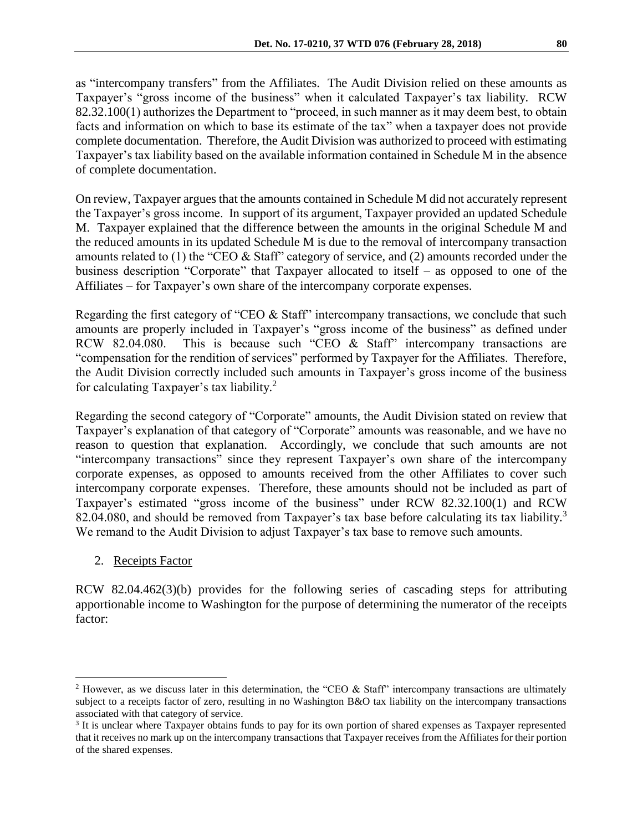as "intercompany transfers" from the Affiliates. The Audit Division relied on these amounts as Taxpayer's "gross income of the business" when it calculated Taxpayer's tax liability. RCW 82.32.100(1) authorizes the Department to "proceed, in such manner as it may deem best, to obtain facts and information on which to base its estimate of the tax" when a taxpayer does not provide complete documentation. Therefore, the Audit Division was authorized to proceed with estimating Taxpayer's tax liability based on the available information contained in Schedule M in the absence of complete documentation.

On review, Taxpayer argues that the amounts contained in Schedule M did not accurately represent the Taxpayer's gross income. In support of its argument, Taxpayer provided an updated Schedule M. Taxpayer explained that the difference between the amounts in the original Schedule M and the reduced amounts in its updated Schedule M is due to the removal of intercompany transaction amounts related to (1) the "CEO & Staff" category of service, and (2) amounts recorded under the business description "Corporate" that Taxpayer allocated to itself – as opposed to one of the Affiliates – for Taxpayer's own share of the intercompany corporate expenses.

Regarding the first category of "CEO & Staff" intercompany transactions, we conclude that such amounts are properly included in Taxpayer's "gross income of the business" as defined under RCW 82.04.080. This is because such "CEO & Staff" intercompany transactions are "compensation for the rendition of services" performed by Taxpayer for the Affiliates. Therefore, the Audit Division correctly included such amounts in Taxpayer's gross income of the business for calculating Taxpayer's tax liability.<sup>2</sup>

Regarding the second category of "Corporate" amounts, the Audit Division stated on review that Taxpayer's explanation of that category of "Corporate" amounts was reasonable, and we have no reason to question that explanation. Accordingly, we conclude that such amounts are not "intercompany transactions" since they represent Taxpayer's own share of the intercompany corporate expenses, as opposed to amounts received from the other Affiliates to cover such intercompany corporate expenses. Therefore, these amounts should not be included as part of Taxpayer's estimated "gross income of the business" under RCW 82.32.100(1) and RCW 82.04.080, and should be removed from Taxpayer's tax base before calculating its tax liability.<sup>3</sup> We remand to the Audit Division to adjust Taxpayer's tax base to remove such amounts.

2. Receipts Factor

 $\overline{a}$ 

RCW 82.04.462(3)(b) provides for the following series of cascading steps for attributing apportionable income to Washington for the purpose of determining the numerator of the receipts factor:

<sup>&</sup>lt;sup>2</sup> However, as we discuss later in this determination, the "CEO & Staff" intercompany transactions are ultimately subject to a receipts factor of zero, resulting in no Washington B&O tax liability on the intercompany transactions associated with that category of service.

<sup>3</sup> It is unclear where Taxpayer obtains funds to pay for its own portion of shared expenses as Taxpayer represented that it receives no mark up on the intercompany transactions that Taxpayer receives from the Affiliates for their portion of the shared expenses.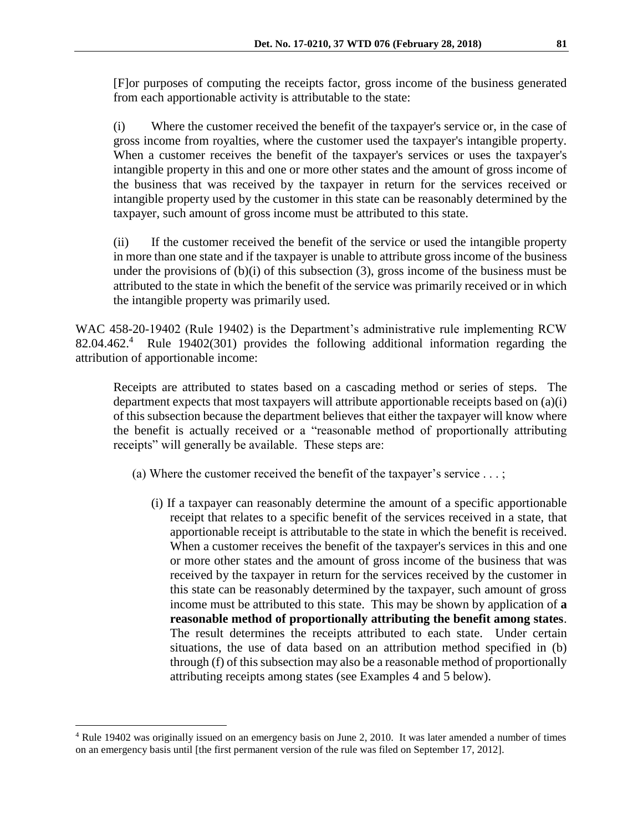[F]or purposes of computing the receipts factor, gross income of the business generated from each apportionable activity is attributable to the state:

(i) Where the customer received the benefit of the taxpayer's service or, in the case of gross income from royalties, where the customer used the taxpayer's intangible property. When a customer receives the benefit of the taxpayer's services or uses the taxpayer's intangible property in this and one or more other states and the amount of gross income of the business that was received by the taxpayer in return for the services received or intangible property used by the customer in this state can be reasonably determined by the taxpayer, such amount of gross income must be attributed to this state.

(ii) If the customer received the benefit of the service or used the intangible property in more than one state and if the taxpayer is unable to attribute gross income of the business under the provisions of (b)(i) of this subsection (3), gross income of the business must be attributed to the state in which the benefit of the service was primarily received or in which the intangible property was primarily used.

WAC 458-20-19402 (Rule 19402) is the Department's administrative rule implementing RCW 82.04.462.<sup>4</sup> Rule 19402(301) provides the following additional information regarding the attribution of apportionable income:

Receipts are attributed to states based on a cascading method or series of steps. The department expects that most taxpayers will attribute apportionable receipts based on (a)(i) of this subsection because the department believes that either the taxpayer will know where the benefit is actually received or a "reasonable method of proportionally attributing receipts" will generally be available. These steps are:

- (a) Where the customer received the benefit of the taxpayer's service  $\dots$ ;
	- (i) If a taxpayer can reasonably determine the amount of a specific apportionable receipt that relates to a specific benefit of the services received in a state, that apportionable receipt is attributable to the state in which the benefit is received. When a customer receives the benefit of the taxpayer's services in this and one or more other states and the amount of gross income of the business that was received by the taxpayer in return for the services received by the customer in this state can be reasonably determined by the taxpayer, such amount of gross income must be attributed to this state. This may be shown by application of **a reasonable method of proportionally attributing the benefit among states**. The result determines the receipts attributed to each state. Under certain situations, the use of data based on an attribution method specified in (b) through (f) of this subsection may also be a reasonable method of proportionally attributing receipts among states (see Examples 4 and 5 below).

 $\overline{a}$ 

<sup>4</sup> Rule 19402 was originally issued on an emergency basis on June 2, 2010. It was later amended a number of times on an emergency basis until [the first permanent version of the rule was filed on September 17, 2012].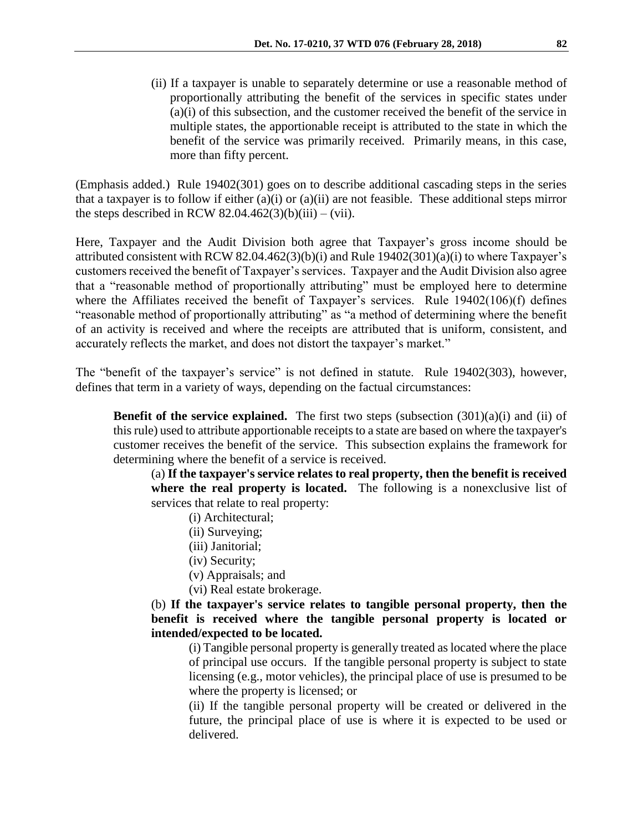(ii) If a taxpayer is unable to separately determine or use a reasonable method of proportionally attributing the benefit of the services in specific states under (a)(i) of this subsection, and the customer received the benefit of the service in multiple states, the apportionable receipt is attributed to the state in which the benefit of the service was primarily received. Primarily means, in this case, more than fifty percent.

(Emphasis added.) Rule 19402(301) goes on to describe additional cascading steps in the series that a taxpayer is to follow if either (a)(i) or (a)(ii) are not feasible. These additional steps mirror the steps described in RCW 82.04.462(3)(b)(iii) – (vii).

Here, Taxpayer and the Audit Division both agree that Taxpayer's gross income should be attributed consistent with RCW 82.04.462(3)(b)(i) and Rule 19402(301)(a)(i) to where Taxpayer's customers received the benefit of Taxpayer's services. Taxpayer and the Audit Division also agree that a "reasonable method of proportionally attributing" must be employed here to determine where the Affiliates received the benefit of Taxpayer's services. Rule 19402(106)(f) defines "reasonable method of proportionally attributing" as "a method of determining where the benefit of an activity is received and where the receipts are attributed that is uniform, consistent, and accurately reflects the market, and does not distort the taxpayer's market."

The "benefit of the taxpayer's service" is not defined in statute. Rule 19402(303), however, defines that term in a variety of ways, depending on the factual circumstances:

**Benefit of the service explained.** The first two steps (subsection  $(301)(a)(i)$  and (ii) of this rule) used to attribute apportionable receipts to a state are based on where the taxpayer's customer receives the benefit of the service. This subsection explains the framework for determining where the benefit of a service is received.

(a) **If the taxpayer's service relates to real property, then the benefit is received where the real property is located.** The following is a nonexclusive list of services that relate to real property:

- (i) Architectural;
- (ii) Surveying;
- (iii) Janitorial;
- (iv) Security;
- (v) Appraisals; and
- (vi) Real estate brokerage.

(b) **If the taxpayer's service relates to tangible personal property, then the benefit is received where the tangible personal property is located or intended/expected to be located.**

(i) Tangible personal property is generally treated as located where the place of principal use occurs. If the tangible personal property is subject to state licensing (e.g., motor vehicles), the principal place of use is presumed to be where the property is licensed; or

(ii) If the tangible personal property will be created or delivered in the future, the principal place of use is where it is expected to be used or delivered.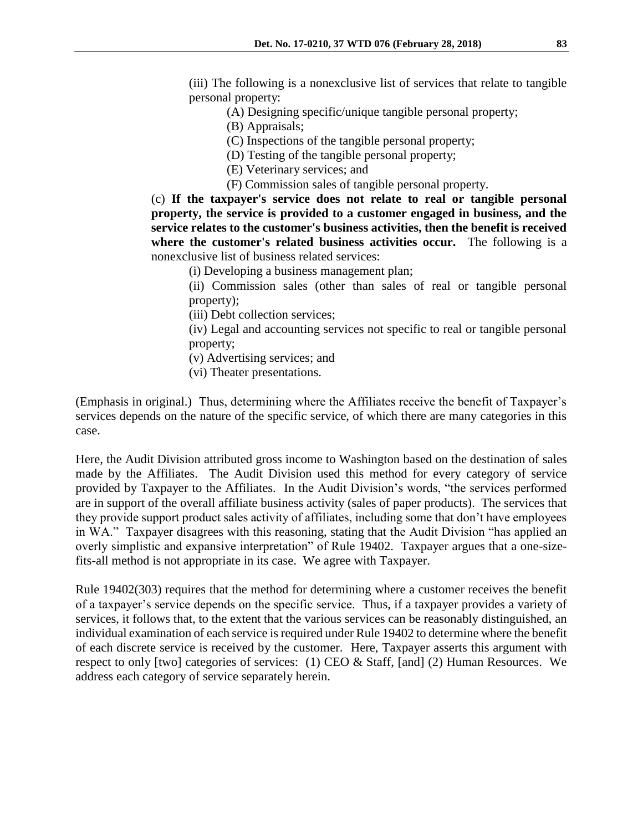(iii) The following is a nonexclusive list of services that relate to tangible personal property:

- (A) Designing specific/unique tangible personal property;
- (B) Appraisals;
- (C) Inspections of the tangible personal property;
- (D) Testing of the tangible personal property;
- (E) Veterinary services; and
- (F) Commission sales of tangible personal property.

(c) **If the taxpayer's service does not relate to real or tangible personal property, the service is provided to a customer engaged in business, and the service relates to the customer's business activities, then the benefit is received where the customer's related business activities occur.** The following is a nonexclusive list of business related services:

- (i) Developing a business management plan;
- (ii) Commission sales (other than sales of real or tangible personal property);
- (iii) Debt collection services;

(iv) Legal and accounting services not specific to real or tangible personal property;

(v) Advertising services; and

(vi) Theater presentations.

(Emphasis in original.) Thus, determining where the Affiliates receive the benefit of Taxpayer's services depends on the nature of the specific service, of which there are many categories in this case.

Here, the Audit Division attributed gross income to Washington based on the destination of sales made by the Affiliates. The Audit Division used this method for every category of service provided by Taxpayer to the Affiliates. In the Audit Division's words, "the services performed are in support of the overall affiliate business activity (sales of paper products). The services that they provide support product sales activity of affiliates, including some that don't have employees in WA." Taxpayer disagrees with this reasoning, stating that the Audit Division "has applied an overly simplistic and expansive interpretation" of Rule 19402. Taxpayer argues that a one-sizefits-all method is not appropriate in its case. We agree with Taxpayer.

Rule 19402(303) requires that the method for determining where a customer receives the benefit of a taxpayer's service depends on the specific service. Thus, if a taxpayer provides a variety of services, it follows that, to the extent that the various services can be reasonably distinguished, an individual examination of each service is required under Rule 19402 to determine where the benefit of each discrete service is received by the customer. Here, Taxpayer asserts this argument with respect to only [two] categories of services: (1) CEO & Staff, [and] (2) Human Resources. We address each category of service separately herein.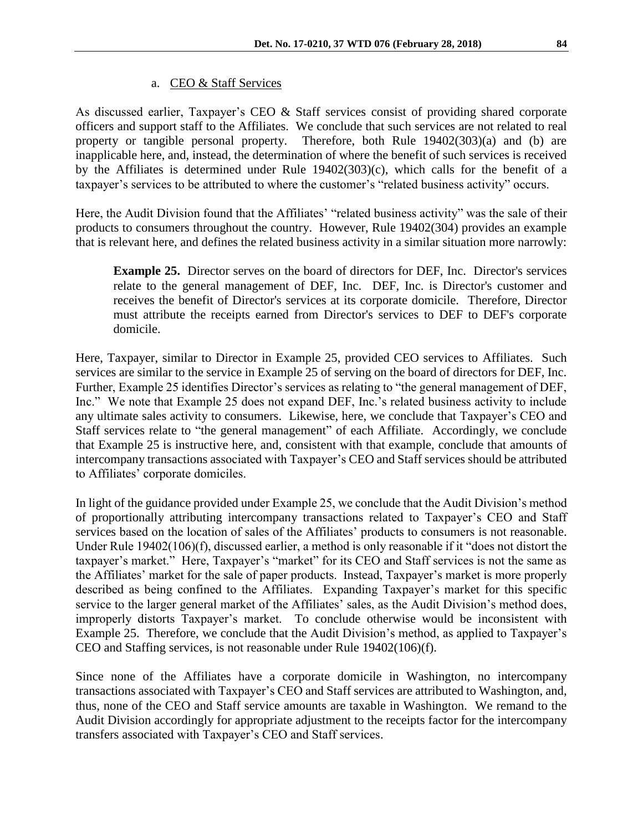## a. CEO & Staff Services

As discussed earlier, Taxpayer's CEO & Staff services consist of providing shared corporate officers and support staff to the Affiliates. We conclude that such services are not related to real property or tangible personal property. Therefore, both Rule 19402(303)(a) and (b) are inapplicable here, and, instead, the determination of where the benefit of such services is received by the Affiliates is determined under Rule 19402(303)(c), which calls for the benefit of a taxpayer's services to be attributed to where the customer's "related business activity" occurs.

Here, the Audit Division found that the Affiliates' "related business activity" was the sale of their products to consumers throughout the country. However, Rule 19402(304) provides an example that is relevant here, and defines the related business activity in a similar situation more narrowly:

**Example 25.** Director serves on the board of directors for DEF, Inc. Director's services relate to the general management of DEF, Inc. DEF, Inc. is Director's customer and receives the benefit of Director's services at its corporate domicile. Therefore, Director must attribute the receipts earned from Director's services to DEF to DEF's corporate domicile.

Here, Taxpayer, similar to Director in Example 25, provided CEO services to Affiliates. Such services are similar to the service in Example 25 of serving on the board of directors for DEF, Inc. Further, Example 25 identifies Director's services as relating to "the general management of DEF, Inc." We note that Example 25 does not expand DEF, Inc.'s related business activity to include any ultimate sales activity to consumers. Likewise, here, we conclude that Taxpayer's CEO and Staff services relate to "the general management" of each Affiliate. Accordingly, we conclude that Example 25 is instructive here, and, consistent with that example, conclude that amounts of intercompany transactions associated with Taxpayer's CEO and Staff services should be attributed to Affiliates' corporate domiciles.

In light of the guidance provided under Example 25, we conclude that the Audit Division's method of proportionally attributing intercompany transactions related to Taxpayer's CEO and Staff services based on the location of sales of the Affiliates' products to consumers is not reasonable. Under Rule 19402(106)(f), discussed earlier, a method is only reasonable if it "does not distort the taxpayer's market." Here, Taxpayer's "market" for its CEO and Staff services is not the same as the Affiliates' market for the sale of paper products. Instead, Taxpayer's market is more properly described as being confined to the Affiliates. Expanding Taxpayer's market for this specific service to the larger general market of the Affiliates' sales, as the Audit Division's method does, improperly distorts Taxpayer's market. To conclude otherwise would be inconsistent with Example 25. Therefore, we conclude that the Audit Division's method, as applied to Taxpayer's CEO and Staffing services, is not reasonable under Rule 19402(106)(f).

Since none of the Affiliates have a corporate domicile in Washington, no intercompany transactions associated with Taxpayer's CEO and Staff services are attributed to Washington, and, thus, none of the CEO and Staff service amounts are taxable in Washington. We remand to the Audit Division accordingly for appropriate adjustment to the receipts factor for the intercompany transfers associated with Taxpayer's CEO and Staff services.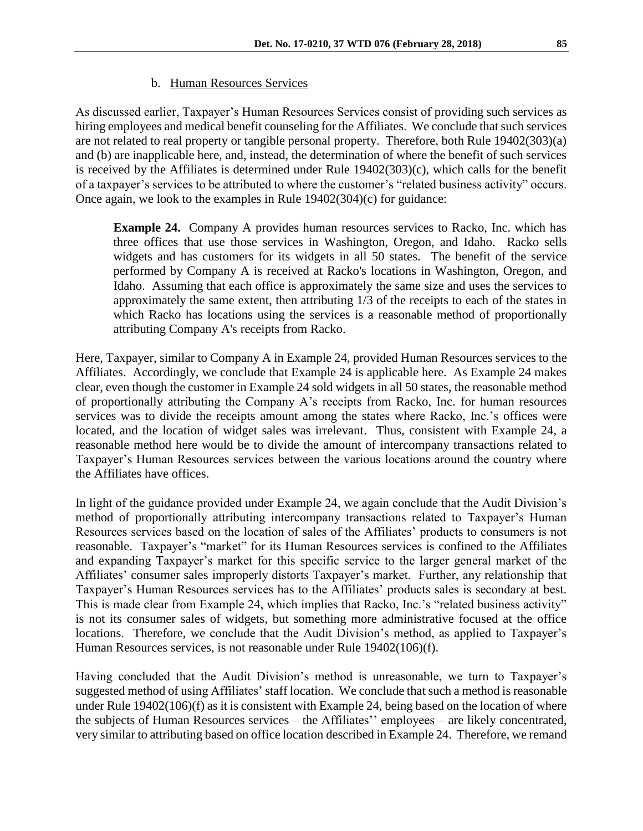As discussed earlier, Taxpayer's Human Resources Services consist of providing such services as hiring employees and medical benefit counseling for the Affiliates. We conclude that such services are not related to real property or tangible personal property. Therefore, both Rule 19402(303)(a) and (b) are inapplicable here, and, instead, the determination of where the benefit of such services is received by the Affiliates is determined under Rule 19402(303)(c), which calls for the benefit of a taxpayer's services to be attributed to where the customer's "related business activity" occurs. Once again, we look to the examples in Rule 19402(304)(c) for guidance:

**Example 24.** Company A provides human resources services to Racko, Inc. which has three offices that use those services in Washington, Oregon, and Idaho. Racko sells widgets and has customers for its widgets in all 50 states. The benefit of the service performed by Company A is received at Racko's locations in Washington, Oregon, and Idaho. Assuming that each office is approximately the same size and uses the services to approximately the same extent, then attributing 1/3 of the receipts to each of the states in which Racko has locations using the services is a reasonable method of proportionally attributing Company A's receipts from Racko.

Here, Taxpayer, similar to Company A in Example 24, provided Human Resources services to the Affiliates. Accordingly, we conclude that Example 24 is applicable here. As Example 24 makes clear, even though the customer in Example 24 sold widgets in all 50 states, the reasonable method of proportionally attributing the Company A's receipts from Racko, Inc. for human resources services was to divide the receipts amount among the states where Racko, Inc.'s offices were located, and the location of widget sales was irrelevant. Thus, consistent with Example 24, a reasonable method here would be to divide the amount of intercompany transactions related to Taxpayer's Human Resources services between the various locations around the country where the Affiliates have offices.

In light of the guidance provided under Example 24, we again conclude that the Audit Division's method of proportionally attributing intercompany transactions related to Taxpayer's Human Resources services based on the location of sales of the Affiliates' products to consumers is not reasonable. Taxpayer's "market" for its Human Resources services is confined to the Affiliates and expanding Taxpayer's market for this specific service to the larger general market of the Affiliates' consumer sales improperly distorts Taxpayer's market. Further, any relationship that Taxpayer's Human Resources services has to the Affiliates' products sales is secondary at best. This is made clear from Example 24, which implies that Racko, Inc.'s "related business activity" is not its consumer sales of widgets, but something more administrative focused at the office locations. Therefore, we conclude that the Audit Division's method, as applied to Taxpayer's Human Resources services, is not reasonable under Rule 19402(106)(f).

Having concluded that the Audit Division's method is unreasonable, we turn to Taxpayer's suggested method of using Affiliates' staff location. We conclude that such a method is reasonable under Rule 19402(106)(f) as it is consistent with Example 24, being based on the location of where the subjects of Human Resources services – the Affiliates'' employees – are likely concentrated, very similar to attributing based on office location described in Example 24. Therefore, we remand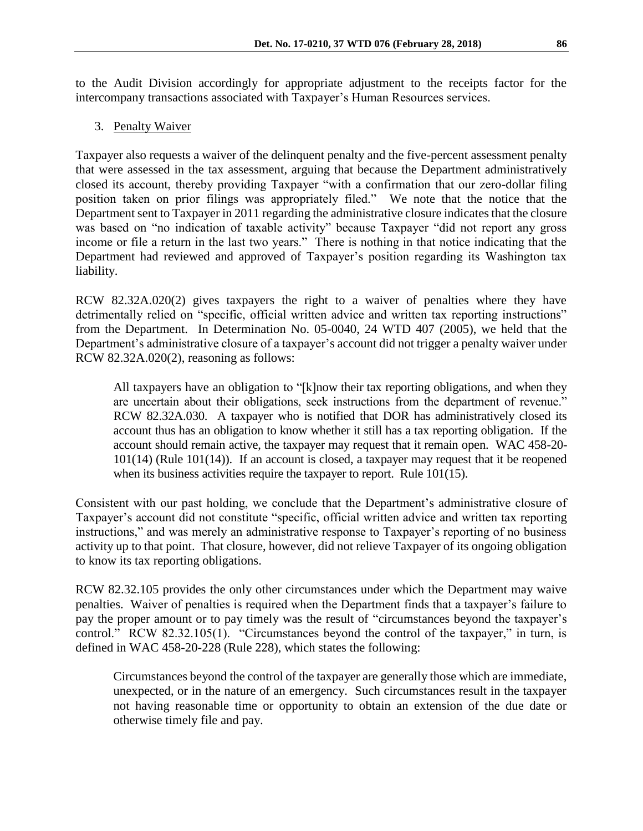to the Audit Division accordingly for appropriate adjustment to the receipts factor for the intercompany transactions associated with Taxpayer's Human Resources services.

3. Penalty Waiver

Taxpayer also requests a waiver of the delinquent penalty and the five-percent assessment penalty that were assessed in the tax assessment, arguing that because the Department administratively closed its account, thereby providing Taxpayer "with a confirmation that our zero-dollar filing position taken on prior filings was appropriately filed." We note that the notice that the Department sent to Taxpayer in 2011 regarding the administrative closure indicates that the closure was based on "no indication of taxable activity" because Taxpayer "did not report any gross income or file a return in the last two years." There is nothing in that notice indicating that the Department had reviewed and approved of Taxpayer's position regarding its Washington tax liability.

RCW 82.32A.020(2) gives taxpayers the right to a waiver of penalties where they have detrimentally relied on "specific, official written advice and written tax reporting instructions" from the Department. In Determination No. 05-0040, 24 WTD 407 (2005), we held that the Department's administrative closure of a taxpayer's account did not trigger a penalty waiver under RCW 82.32A.020(2), reasoning as follows:

All taxpayers have an obligation to "[k]now their tax reporting obligations, and when they are uncertain about their obligations, seek instructions from the department of revenue." RCW 82.32A.030. A taxpayer who is notified that DOR has administratively closed its account thus has an obligation to know whether it still has a tax reporting obligation. If the account should remain active, the taxpayer may request that it remain open. WAC 458-20- 101(14) (Rule 101(14)). If an account is closed, a taxpayer may request that it be reopened when its business activities require the taxpayer to report. Rule 101(15).

Consistent with our past holding, we conclude that the Department's administrative closure of Taxpayer's account did not constitute "specific, official written advice and written tax reporting instructions," and was merely an administrative response to Taxpayer's reporting of no business activity up to that point. That closure, however, did not relieve Taxpayer of its ongoing obligation to know its tax reporting obligations.

RCW 82.32.105 provides the only other circumstances under which the Department may waive penalties. Waiver of penalties is required when the Department finds that a taxpayer's failure to pay the proper amount or to pay timely was the result of "circumstances beyond the taxpayer's control." RCW 82.32.105(1). "Circumstances beyond the control of the taxpayer," in turn, is defined in WAC 458-20-228 (Rule 228), which states the following:

Circumstances beyond the control of the taxpayer are generally those which are immediate, unexpected, or in the nature of an emergency. Such circumstances result in the taxpayer not having reasonable time or opportunity to obtain an extension of the due date or otherwise timely file and pay.